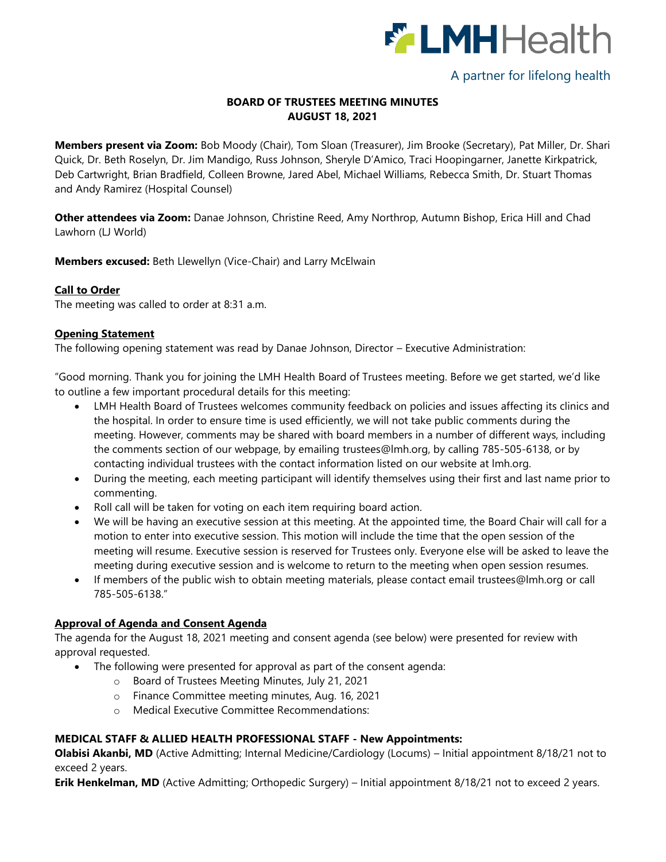

# A partner for lifelong health

## **BOARD OF TRUSTEES MEETING MINUTES AUGUST 18, 2021**

**Members present via Zoom:** Bob Moody (Chair), Tom Sloan (Treasurer), Jim Brooke (Secretary), Pat Miller, Dr. Shari Quick, Dr. Beth Roselyn, Dr. Jim Mandigo, Russ Johnson, Sheryle D'Amico, Traci Hoopingarner, Janette Kirkpatrick, Deb Cartwright, Brian Bradfield, Colleen Browne, Jared Abel, Michael Williams, Rebecca Smith, Dr. Stuart Thomas and Andy Ramirez (Hospital Counsel)

**Other attendees via Zoom:** Danae Johnson, Christine Reed, Amy Northrop, Autumn Bishop, Erica Hill and Chad Lawhorn (LJ World)

**Members excused:** Beth Llewellyn (Vice-Chair) and Larry McElwain

## **Call to Order**

The meeting was called to order at 8:31 a.m.

## **Opening Statement**

The following opening statement was read by Danae Johnson, Director – Executive Administration:

"Good morning. Thank you for joining the LMH Health Board of Trustees meeting. Before we get started, we'd like to outline a few important procedural details for this meeting:

- LMH Health Board of Trustees welcomes community feedback on policies and issues affecting its clinics and the hospital. In order to ensure time is used efficiently, we will not take public comments during the meeting. However, comments may be shared with board members in a number of different ways, including the comments section of our webpage, by emailing [trustees@lmh.org,](mailto:trustees@lmh.org) by calling 785-505-6138, or by contacting individual trustees with the contact information listed on our website at lmh.org.
- During the meeting, each meeting participant will identify themselves using their first and last name prior to commenting.
- Roll call will be taken for voting on each item requiring board action.
- We will be having an executive session at this meeting. At the appointed time, the Board Chair will call for a motion to enter into executive session. This motion will include the time that the open session of the meeting will resume. Executive session is reserved for Trustees only. Everyone else will be asked to leave the meeting during executive session and is welcome to return to the meeting when open session resumes.
- If members of the public wish to obtain meeting materials, please contact email [trustees@lmh.org](mailto:trustees@lmh.org) or call 785-505-6138."

## **Approval of Agenda and Consent Agenda**

The agenda for the August 18, 2021 meeting and consent agenda (see below) were presented for review with approval requested.

- The following were presented for approval as part of the consent agenda:
	- o Board of Trustees Meeting Minutes, July 21, 2021
	- o Finance Committee meeting minutes, Aug. 16, 2021
	- o Medical Executive Committee Recommendations:

## **MEDICAL STAFF & ALLIED HEALTH PROFESSIONAL STAFF - New Appointments:**

**Olabisi Akanbi, MD** (Active Admitting; Internal Medicine/Cardiology (Locums) – Initial appointment 8/18/21 not to exceed 2 years.

**Erik Henkelman, MD** (Active Admitting; Orthopedic Surgery) – Initial appointment 8/18/21 not to exceed 2 years.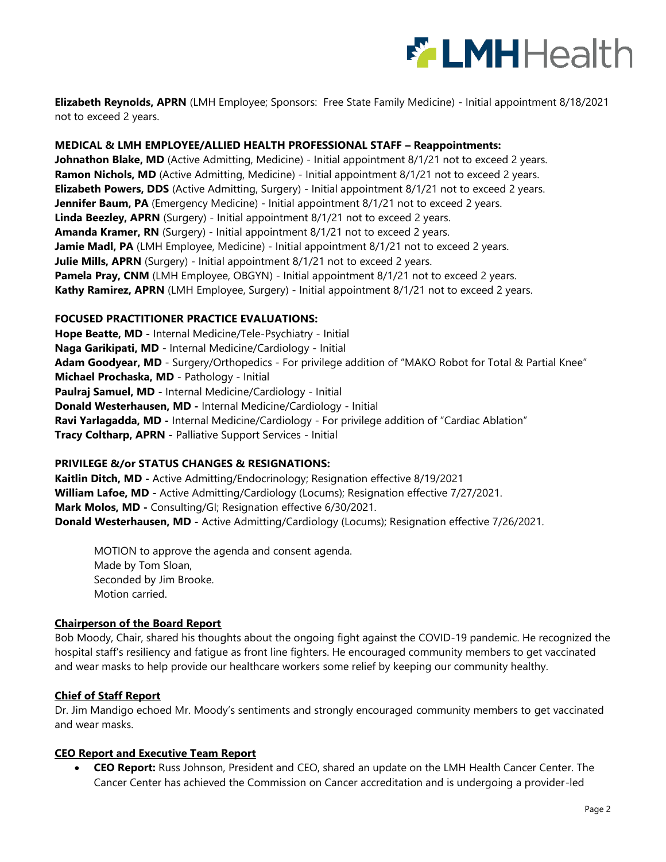

**Elizabeth Reynolds, APRN** (LMH Employee; Sponsors: Free State Family Medicine) - Initial appointment 8/18/2021 not to exceed 2 years.

### **MEDICAL & LMH EMPLOYEE/ALLIED HEALTH PROFESSIONAL STAFF – Reappointments:**

**Johnathon Blake, MD** (Active Admitting, Medicine) - Initial appointment 8/1/21 not to exceed 2 years. **Ramon Nichols, MD** (Active Admitting, Medicine) - Initial appointment 8/1/21 not to exceed 2 years. **Elizabeth Powers, DDS** (Active Admitting, Surgery) - Initial appointment 8/1/21 not to exceed 2 years. **Jennifer Baum, PA** (Emergency Medicine) - Initial appointment 8/1/21 not to exceed 2 years. **Linda Beezley, APRN** (Surgery) - Initial appointment 8/1/21 not to exceed 2 years. **Amanda Kramer, RN** (Surgery) - Initial appointment 8/1/21 not to exceed 2 years. Jamie Madl, PA (LMH Employee, Medicine) - Initial appointment 8/1/21 not to exceed 2 years. **Julie Mills, APRN** (Surgery) - Initial appointment 8/1/21 not to exceed 2 years. **Pamela Pray, CNM** (LMH Employee, OBGYN) - Initial appointment 8/1/21 not to exceed 2 years. **Kathy Ramirez, APRN** (LMH Employee, Surgery) - Initial appointment 8/1/21 not to exceed 2 years.

#### **FOCUSED PRACTITIONER PRACTICE EVALUATIONS:**

**Hope Beatte, MD -** Internal Medicine/Tele-Psychiatry - Initial **Naga Garikipati, MD** - Internal Medicine/Cardiology - Initial **Adam Goodyear, MD** - Surgery/Orthopedics - For privilege addition of "MAKO Robot for Total & Partial Knee" **Michael Prochaska, MD** - Pathology - Initial **Paulraj Samuel, MD -** Internal Medicine/Cardiology - Initial **Donald Westerhausen, MD -** Internal Medicine/Cardiology - Initial **Ravi Yarlagadda, MD -** Internal Medicine/Cardiology - For privilege addition of "Cardiac Ablation" **Tracy Coltharp, APRN -** Palliative Support Services - Initial

#### **PRIVILEGE &/or STATUS CHANGES & RESIGNATIONS:**

**Kaitlin Ditch, MD -** Active Admitting/Endocrinology; Resignation effective 8/19/2021 **William Lafoe, MD -** Active Admitting/Cardiology (Locums); Resignation effective 7/27/2021. **Mark Molos, MD -** Consulting/GI; Resignation effective 6/30/2021. **Donald Westerhausen, MD -** Active Admitting/Cardiology (Locums); Resignation effective 7/26/2021.

MOTION to approve the agenda and consent agenda. Made by Tom Sloan, Seconded by Jim Brooke. Motion carried.

#### **Chairperson of the Board Report**

Bob Moody, Chair, shared his thoughts about the ongoing fight against the COVID-19 pandemic. He recognized the hospital staff's resiliency and fatigue as front line fighters. He encouraged community members to get vaccinated and wear masks to help provide our healthcare workers some relief by keeping our community healthy.

#### **Chief of Staff Report**

Dr. Jim Mandigo echoed Mr. Moody's sentiments and strongly encouraged community members to get vaccinated and wear masks.

#### **CEO Report and Executive Team Report**

 **CEO Report:** Russ Johnson, President and CEO, shared an update on the LMH Health Cancer Center. The Cancer Center has achieved the Commission on Cancer accreditation and is undergoing a provider-led